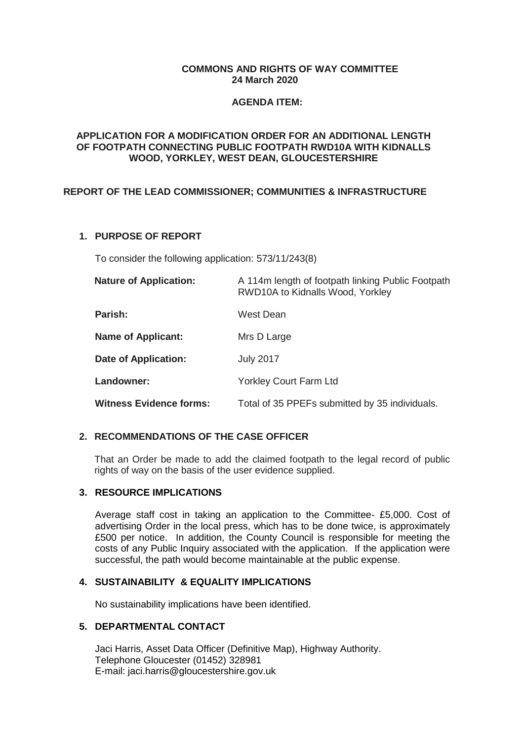#### **COMMONS AND RIGHTS OF WAY COMMITTEE 24 March 2020**

#### **AGENDA ITEM:**

#### **APPLICATION FOR A MODIFICATION ORDER FOR AN ADDITIONAL LENGTH OF FOOTPATH CONNECTING PUBLIC FOOTPATH RWD10A WITH KIDNALLS WOOD, YORKLEY, WEST DEAN, GLOUCESTERSHIRE**

# **REPORT OF THE LEAD COMMISSIONER; COMMUNITIES & INFRASTRUCTURE**

# **1. PURPOSE OF REPORT**

To consider the following application: 573/11/243(8)

| <b>Nature of Application:</b>  | A 114m length of footpath linking Public Footpath<br>RWD10A to Kidnalls Wood, Yorkley |
|--------------------------------|---------------------------------------------------------------------------------------|
| Parish:                        | West Dean                                                                             |
| <b>Name of Applicant:</b>      | Mrs D Large                                                                           |
| Date of Application:           | <b>July 2017</b>                                                                      |
| Landowner:                     | <b>Yorkley Court Farm Ltd</b>                                                         |
| <b>Witness Evidence forms:</b> | Total of 35 PPEFs submitted by 35 individuals.                                        |

### **2. RECOMMENDATIONS OF THE CASE OFFICER**

That an Order be made to add the claimed footpath to the legal record of public rights of way on the basis of the user evidence supplied.

### **3. RESOURCE IMPLICATIONS**

Average staff cost in taking an application to the Committee- £5,000. Cost of advertising Order in the local press, which has to be done twice, is approximately £500 per notice. In addition, the County Council is responsible for meeting the costs of any Public Inquiry associated with the application. If the application were successful, the path would become maintainable at the public expense.

### **4. SUSTAINABILITY & EQUALITY IMPLICATIONS**

No sustainability implications have been identified.

# **5. DEPARTMENTAL CONTACT**

Jaci Harris, Asset Data Officer (Definitive Map), Highway Authority. Telephone Gloucester (01452) 328981 E-mail: jaci.harris@gloucestershire.gov.uk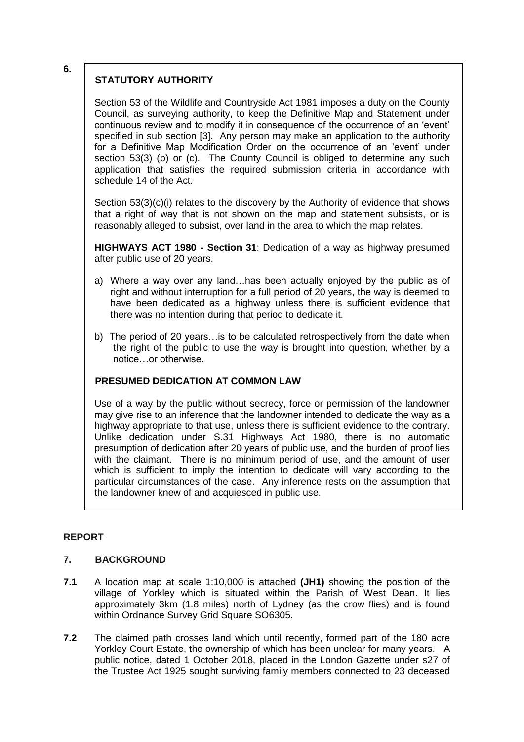#### **6.**

# **STATUTORY AUTHORITY**

Section 53 of the Wildlife and Countryside Act 1981 imposes a duty on the County Council, as surveying authority, to keep the Definitive Map and Statement under continuous review and to modify it in consequence of the occurrence of an 'event' specified in sub section [3]. Any person may make an application to the authority for a Definitive Map Modification Order on the occurrence of an 'event' under section 53(3) (b) or (c). The County Council is obliged to determine any such application that satisfies the required submission criteria in accordance with schedule 14 of the Act.

Section 53(3)(c)(i) relates to the discovery by the Authority of evidence that shows that a right of way that is not shown on the map and statement subsists, or is reasonably alleged to subsist, over land in the area to which the map relates.

**HIGHWAYS ACT 1980 - Section 31**: Dedication of a way as highway presumed after public use of 20 years.

- a) Where a way over any land…has been actually enjoyed by the public as of right and without interruption for a full period of 20 years, the way is deemed to have been dedicated as a highway unless there is sufficient evidence that there was no intention during that period to dedicate it.
- b) The period of 20 years…is to be calculated retrospectively from the date when the right of the public to use the way is brought into question, whether by a notice…or otherwise.

### **PRESUMED DEDICATION AT COMMON LAW**

Use of a way by the public without secrecy, force or permission of the landowner may give rise to an inference that the landowner intended to dedicate the way as a highway appropriate to that use, unless there is sufficient evidence to the contrary. Unlike dedication under S.31 Highways Act 1980, there is no automatic presumption of dedication after 20 years of public use, and the burden of proof lies with the claimant. There is no minimum period of use, and the amount of user which is sufficient to imply the intention to dedicate will vary according to the particular circumstances of the case. Any inference rests on the assumption that the landowner knew of and acquiesced in public use.

### **REPORT**

# **7. BACKGROUND**

- **7.1** A location map at scale 1:10,000 is attached **(JH1)** showing the position of the village of Yorkley which is situated within the Parish of West Dean. It lies approximately 3km (1.8 miles) north of Lydney (as the crow flies) and is found within Ordnance Survey Grid Square SO6305.
- **7.2** The claimed path crosses land which until recently, formed part of the 180 acre Yorkley Court Estate, the ownership of which has been unclear for many years. A public notice, dated 1 October 2018, placed in the London Gazette under s27 of the Trustee Act 1925 sought surviving family members connected to 23 deceased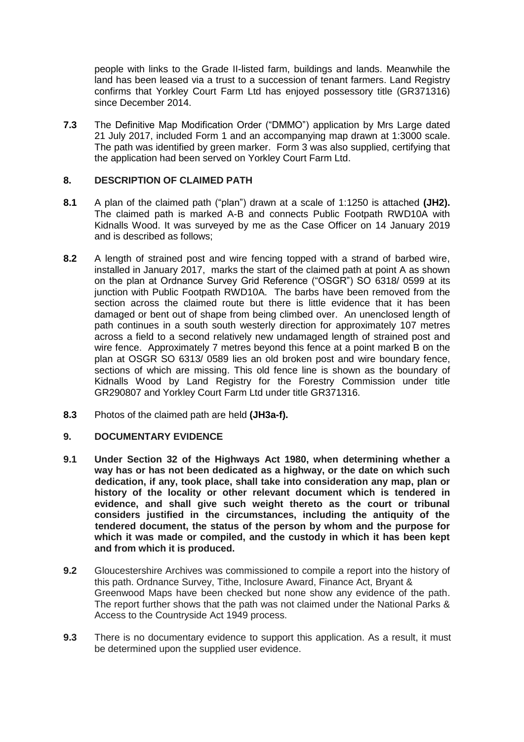people with links to the Grade II-listed farm, buildings and lands. Meanwhile the land has been leased via a trust to a succession of tenant farmers. Land Registry confirms that Yorkley Court Farm Ltd has enjoyed possessory title (GR371316) since December 2014.

**7.3** The Definitive Map Modification Order ("DMMO") application by Mrs Large dated 21 July 2017, included Form 1 and an accompanying map drawn at 1:3000 scale. The path was identified by green marker. Form 3 was also supplied, certifying that the application had been served on Yorkley Court Farm Ltd.

# **8. DESCRIPTION OF CLAIMED PATH**

- **8.1** A plan of the claimed path ("plan") drawn at a scale of 1:1250 is attached **(JH2).** The claimed path is marked A-B and connects Public Footpath RWD10A with Kidnalls Wood. It was surveyed by me as the Case Officer on 14 January 2019 and is described as follows;
- **8.2** A length of strained post and wire fencing topped with a strand of barbed wire, installed in January 2017, marks the start of the claimed path at point A as shown on the plan at Ordnance Survey Grid Reference ("OSGR") SO 6318/ 0599 at its junction with Public Footpath RWD10A. The barbs have been removed from the section across the claimed route but there is little evidence that it has been damaged or bent out of shape from being climbed over. An unenclosed length of path continues in a south south westerly direction for approximately 107 metres across a field to a second relatively new undamaged length of strained post and wire fence. Approximately 7 metres beyond this fence at a point marked B on the plan at OSGR SO 6313/ 0589 lies an old broken post and wire boundary fence, sections of which are missing. This old fence line is shown as the boundary of Kidnalls Wood by Land Registry for the Forestry Commission under title GR290807 and Yorkley Court Farm Ltd under title GR371316.
- **8.3** Photos of the claimed path are held **(JH3a-f).**

### **9. DOCUMENTARY EVIDENCE**

- **9.1 Under Section 32 of the Highways Act 1980, when determining whether a way has or has not been dedicated as a highway, or the date on which such dedication, if any, took place, shall take into consideration any map, plan or history of the locality or other relevant document which is tendered in evidence, and shall give such weight thereto as the court or tribunal considers justified in the circumstances, including the antiquity of the tendered document, the status of the person by whom and the purpose for which it was made or compiled, and the custody in which it has been kept and from which it is produced.**
- **9.2** Gloucestershire Archives was commissioned to compile a report into the history of this path. Ordnance Survey, Tithe, Inclosure Award, Finance Act, Bryant & Greenwood Maps have been checked but none show any evidence of the path. The report further shows that the path was not claimed under the National Parks & Access to the Countryside Act 1949 process.
- **9.3** There is no documentary evidence to support this application. As a result, it must be determined upon the supplied user evidence.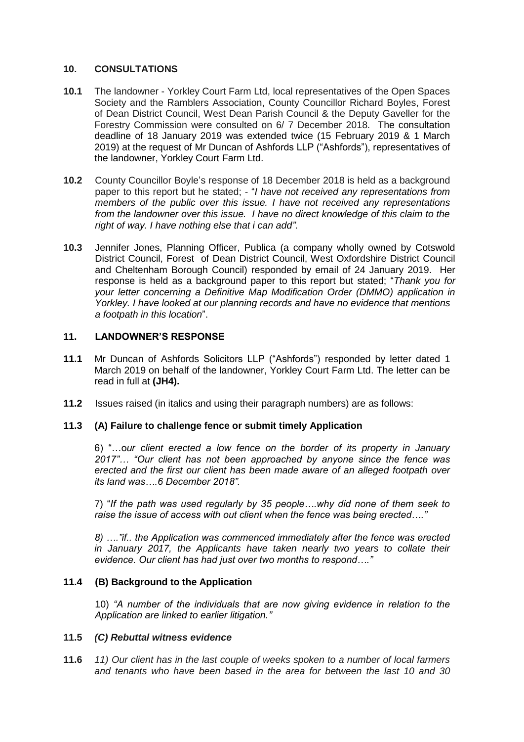#### **10. CONSULTATIONS**

- **10.1** The landowner Yorkley Court Farm Ltd, local representatives of the Open Spaces Society and the Ramblers Association, County Councillor Richard Boyles, Forest of Dean District Council, West Dean Parish Council & the Deputy Gaveller for the Forestry Commission were consulted on 6/ 7 December 2018. The consultation deadline of 18 January 2019 was extended twice (15 February 2019 & 1 March 2019) at the request of Mr Duncan of Ashfords LLP ("Ashfords"), representatives of the landowner, Yorkley Court Farm Ltd.
- **10.2** County Councillor Boyle's response of 18 December 2018 is held as a background paper to this report but he stated; - "*I have not received any representations from members of the public over this issue. I have not received any representations from the landowner over this issue. I have no direct knowledge of this claim to the right of way. I have nothing else that i can add"*.
- **10.3** Jennifer Jones, Planning Officer, Publica (a company wholly owned by Cotswold District Council, Forest of Dean District Council, West Oxfordshire District Council and Cheltenham Borough Council) responded by email of 24 January 2019. Her response is held as a background paper to this report but stated; "*Thank you for your letter concerning a Definitive Map Modification Order (DMMO) application in Yorkley. I have looked at our planning records and have no evidence that mentions a footpath in this location*".

### **11. LANDOWNER'S RESPONSE**

- **11.1** Mr Duncan of Ashfords Solicitors LLP ("Ashfords") responded by letter dated 1 March 2019 on behalf of the landowner, Yorkley Court Farm Ltd. The letter can be read in full at **(JH4).**
- **11.2** Issues raised (in italics and using their paragraph numbers) are as follows:

### **11.3 (A) Failure to challenge fence or submit timely Application**

6) "…o*ur client erected a low fence on the border of its property in January 2017"… "Our client has not been approached by anyone since the fence was erected and the first our client has been made aware of an alleged footpath over its land was….6 December 2018".*

7) "*If the path was used regularly by 35 people….why did none of them seek to raise the issue of access with out client when the fence was being erected…."*

*8) …."if.. the Application was commenced immediately after the fence was erected in January 2017, the Applicants have taken nearly two years to collate their evidence. Our client has had just over two months to respond…."* 

#### **11.4 (B) Background to the Application**

10) *"A number of the individuals that are now giving evidence in relation to the Application are linked to earlier litigation."*

#### **11.5** *(C) Rebuttal witness evidence*

**11.6** *11) Our client has in the last couple of weeks spoken to a number of local farmers and tenants who have been based in the area for between the last 10 and 30*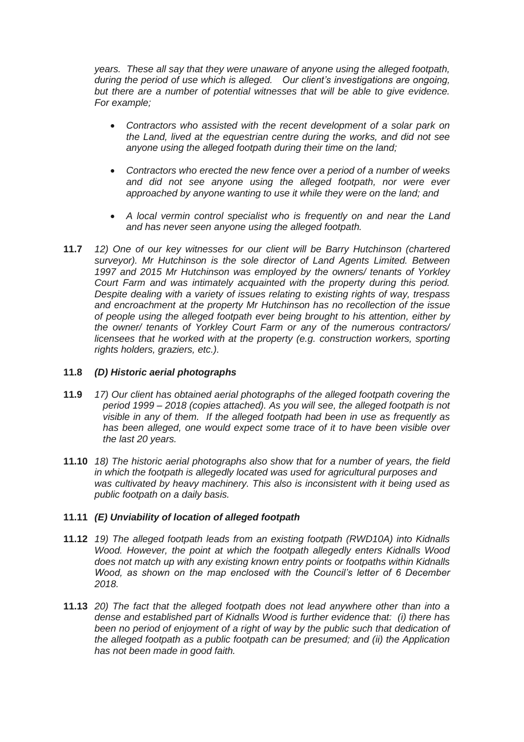*years. These all say that they were unaware of anyone using the alleged footpath, during the period of use which is alleged. Our client's investigations are ongoing, but there are a number of potential witnesses that will be able to give evidence. For example;*

- *Contractors who assisted with the recent development of a solar park on the Land, lived at the equestrian centre during the works, and did not see anyone using the alleged footpath during their time on the land;*
- *Contractors who erected the new fence over a period of a number of weeks and did not see anyone using the alleged footpath, nor were ever approached by anyone wanting to use it while they were on the land; and*
- *A local vermin control specialist who is frequently on and near the Land and has never seen anyone using the alleged footpath.*
- **11.7** *12) One of our key witnesses for our client will be Barry Hutchinson (chartered surveyor). Mr Hutchinson is the sole director of Land Agents Limited. Between 1997 and 2015 Mr Hutchinson was employed by the owners/ tenants of Yorkley Court Farm and was intimately acquainted with the property during this period. Despite dealing with a variety of issues relating to existing rights of way, trespass and encroachment at the property Mr Hutchinson has no recollection of the issue of people using the alleged footpath ever being brought to his attention, either by the owner/ tenants of Yorkley Court Farm or any of the numerous contractors/ licensees that he worked with at the property (e.g. construction workers, sporting rights holders, graziers, etc.).*

# **11.8** *(D) Historic aerial photographs*

- **11.9** *17) Our client has obtained aerial photographs of the alleged footpath covering the period 1999 – 2018 (copies attached). As you will see, the alleged footpath is not visible in any of them. If the alleged footpath had been in use as frequently as has been alleged, one would expect some trace of it to have been visible over the last 20 years.*
- **11.10** *18) The historic aerial photographs also show that for a number of years, the field in which the footpath is allegedly located was used for agricultural purposes and was cultivated by heavy machinery. This also is inconsistent with it being used as public footpath on a daily basis.*

### **11.11** *(E) Unviability of location of alleged footpath*

- **11.12** *19) The alleged footpath leads from an existing footpath (RWD10A) into Kidnalls Wood. However, the point at which the footpath allegedly enters Kidnalls Wood does not match up with any existing known entry points or footpaths within Kidnalls Wood, as shown on the map enclosed with the Council's letter of 6 December 2018.*
- **11.13** *20) The fact that the alleged footpath does not lead anywhere other than into a dense and established part of Kidnalls Wood is further evidence that: (i) there has been no period of enjoyment of a right of way by the public such that dedication of the alleged footpath as a public footpath can be presumed; and (ii) the Application has not been made in good faith.*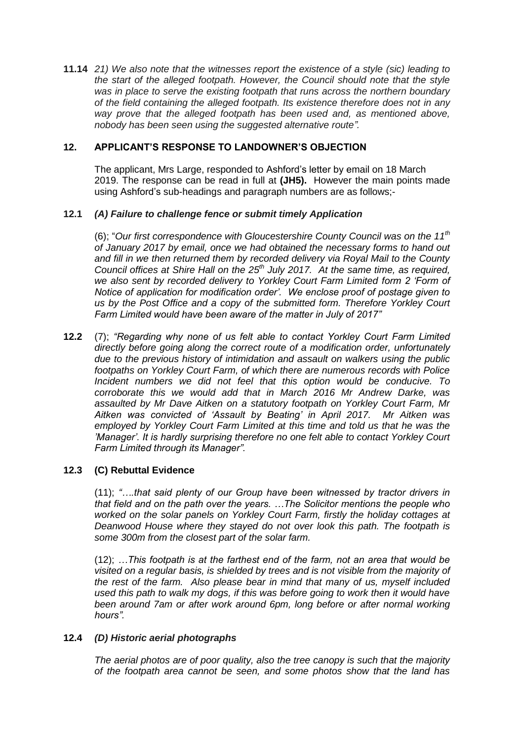**11.14** *21) We also note that the witnesses report the existence of a style (sic) leading to the start of the alleged footpath. However, the Council should note that the style was in place to serve the existing footpath that runs across the northern boundary of the field containing the alleged footpath. Its existence therefore does not in any*  way prove that the alleged footpath has been used and, as mentioned above, *nobody has been seen using the suggested alternative route".* 

### **12. APPLICANT'S RESPONSE TO LANDOWNER'S OBJECTION**

The applicant, Mrs Large, responded to Ashford's letter by email on 18 March 2019. The response can be read in full at **(JH5).** However the main points made using Ashford's sub-headings and paragraph numbers are as follows;-

### **12.1** *(A) Failure to challenge fence or submit timely Application*

(6); "*Our first correspondence with Gloucestershire County Council was on the 11th of January 2017 by email, once we had obtained the necessary forms to hand out and fill in we then returned them by recorded delivery via Royal Mail to the County Council offices at Shire Hall on the 25th July 2017. At the same time, as required, we also sent by recorded delivery to Yorkley Court Farm Limited form 2 'Form of Notice of application for modification order'. We enclose proof of postage given to us by the Post Office and a copy of the submitted form. Therefore Yorkley Court Farm Limited would have been aware of the matter in July of 2017"* 

**12.2** (7); *"Regarding why none of us felt able to contact Yorkley Court Farm Limited directly before going along the correct route of a modification order, unfortunately due to the previous history of intimidation and assault on walkers using the public footpaths on Yorkley Court Farm, of which there are numerous records with Police Incident numbers we did not feel that this option would be conducive. To corroborate this we would add that in March 2016 Mr Andrew Darke, was assaulted by Mr Dave Aitken on a statutory footpath on Yorkley Court Farm, Mr Aitken was convicted of 'Assault by Beating' in April 2017. Mr Aitken was employed by Yorkley Court Farm Limited at this time and told us that he was the 'Manager'. It is hardly surprising therefore no one felt able to contact Yorkley Court Farm Limited through its Manager".* 

### **12.3 (C) Rebuttal Evidence**

(11); *"….that said plenty of our Group have been witnessed by tractor drivers in that field and on the path over the years. …The Solicitor mentions the people who worked on the solar panels on Yorkley Court Farm, firstly the holiday cottages at Deanwood House where they stayed do not over look this path. The footpath is some 300m from the closest part of the solar farm.*

(12); *…This footpath is at the farthest end of the farm, not an area that would be visited on a regular basis, is shielded by trees and is not visible from the majority of the rest of the farm. Also please bear in mind that many of us, myself included used this path to walk my dogs, if this was before going to work then it would have been around 7am or after work around 6pm, long before or after normal working hours".* 

### **12.4** *(D) Historic aerial photographs*

*The aerial photos are of poor quality, also the tree canopy is such that the majority of the footpath area cannot be seen, and some photos show that the land has*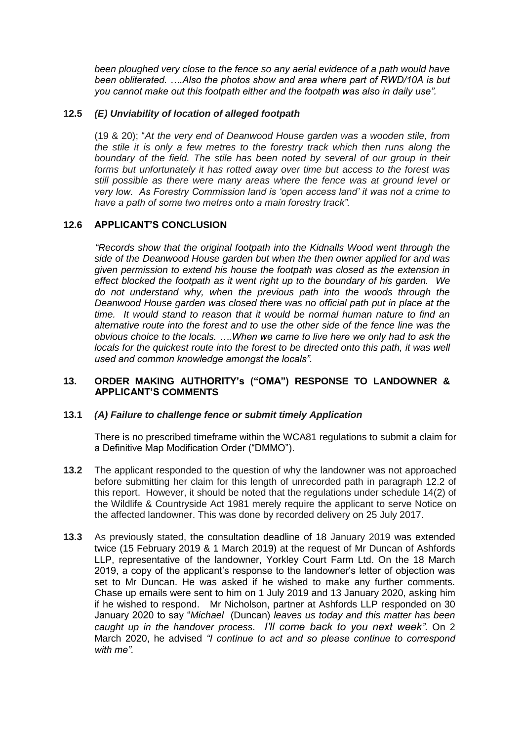*been ploughed very close to the fence so any aerial evidence of a path would have been obliterated. ….Also the photos show and area where part of RWD/10A is but you cannot make out this footpath either and the footpath was also in daily use".* 

### **12.5** *(E) Unviability of location of alleged footpath*

(19 & 20); "*At the very end of Deanwood House garden was a wooden stile, from the stile it is only a few metres to the forestry track which then runs along the boundary of the field. The stile has been noted by several of our group in their forms but unfortunately it has rotted away over time but access to the forest was still possible as there were many areas where the fence was at ground level or very low. As Forestry Commission land is 'open access land' it was not a crime to have a path of some two metres onto a main forestry track".*

### **12.6 APPLICANT'S CONCLUSION**

*"Records show that the original footpath into the Kidnalls Wood went through the side of the Deanwood House garden but when the then owner applied for and was given permission to extend his house the footpath was closed as the extension in effect blocked the footpath as it went right up to the boundary of his garden. We do not understand why, when the previous path into the woods through the Deanwood House garden was closed there was no official path put in place at the time. It would stand to reason that it would be normal human nature to find an alternative route into the forest and to use the other side of the fence line was the obvious choice to the locals. ….When we came to live here we only had to ask the locals for the quickest route into the forest to be directed onto this path, it was well used and common knowledge amongst the locals".*

### **13. ORDER MAKING AUTHORITY's ("OMA") RESPONSE TO LANDOWNER & APPLICANT'S COMMENTS**

### **13.1** *(A) Failure to challenge fence or submit timely Application*

There is no prescribed timeframe within the WCA81 regulations to submit a claim for a Definitive Map Modification Order ("DMMO").

- **13.2** The applicant responded to the question of why the landowner was not approached before submitting her claim for this length of unrecorded path in paragraph 12.2 of this report. However, it should be noted that the regulations under schedule 14(2) of the Wildlife & Countryside Act 1981 merely require the applicant to serve Notice on the affected landowner. This was done by recorded delivery on 25 July 2017.
- **13.3** As previously stated, the consultation deadline of 18 January 2019 was extended twice (15 February 2019 & 1 March 2019) at the request of Mr Duncan of Ashfords LLP, representative of the landowner, Yorkley Court Farm Ltd. On the 18 March 2019, a copy of the applicant's response to the landowner's letter of objection was set to Mr Duncan. He was asked if he wished to make any further comments. Chase up emails were sent to him on 1 July 2019 and 13 January 2020, asking him if he wished to respond. Mr Nicholson, partner at Ashfords LLP responded on 30 January 2020 to say "*Michael* (Duncan) *leaves us today and this matter has been caught up in the handover process*. *I'll come back to you next week".* On 2 March 2020, he advised *"I continue to act and so please continue to correspond with me".*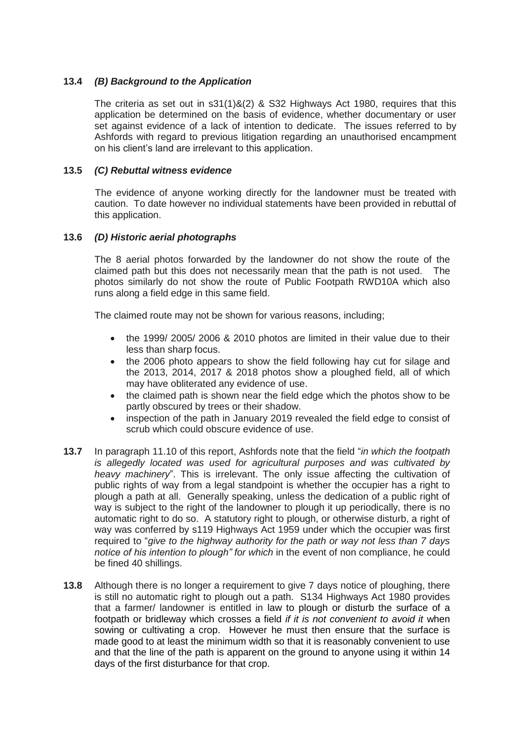# **13.4** *(B) Background to the Application*

The criteria as set out in  $s31(1)8(2)$  & S32 Highways Act 1980, requires that this application be determined on the basis of evidence, whether documentary or user set against evidence of a lack of intention to dedicate. The issues referred to by Ashfords with regard to previous litigation regarding an unauthorised encampment on his client's land are irrelevant to this application.

#### **13.5** *(C) Rebuttal witness evidence*

The evidence of anyone working directly for the landowner must be treated with caution. To date however no individual statements have been provided in rebuttal of this application.

## **13.6** *(D) Historic aerial photographs*

The 8 aerial photos forwarded by the landowner do not show the route of the claimed path but this does not necessarily mean that the path is not used. The photos similarly do not show the route of Public Footpath RWD10A which also runs along a field edge in this same field.

The claimed route may not be shown for various reasons, including;

- the 1999/ 2005/ 2006 & 2010 photos are limited in their value due to their less than sharp focus.
- the 2006 photo appears to show the field following hay cut for silage and the 2013, 2014, 2017 & 2018 photos show a ploughed field, all of which may have obliterated any evidence of use.
- the claimed path is shown near the field edge which the photos show to be partly obscured by trees or their shadow.
- inspection of the path in January 2019 revealed the field edge to consist of scrub which could obscure evidence of use.
- **13.7** In paragraph 11.10 of this report, Ashfords note that the field "*in which the footpath is allegedly located was used for agricultural purposes and was cultivated by heavy machinery*". This is irrelevant. The only issue affecting the cultivation of public rights of way from a legal standpoint is whether the occupier has a right to plough a path at all. Generally speaking, unless the dedication of a public right of way is subject to the right of the landowner to plough it up periodically, there is no automatic right to do so. A statutory right to plough, or otherwise disturb, a right of way was conferred by s119 Highways Act 1959 under which the occupier was first required to "*give to the highway authority for the path or way not less than 7 days notice of his intention to plough" for which* in the event of non compliance, he could be fined 40 shillings.
- **13.8** Although there is no longer a requirement to give 7 days notice of ploughing, there is still no automatic right to plough out a path. S134 Highways Act 1980 provides that a farmer/ landowner is entitled in law to plough or disturb the surface of a footpath or bridleway which crosses a field *if it is not convenient to avoid it* when sowing or cultivating a crop. However he must then ensure that the surface is made good to at least the minimum width so that it is reasonably convenient to use and that the line of the path is apparent on the ground to anyone using it within 14 days of the first disturbance for that crop.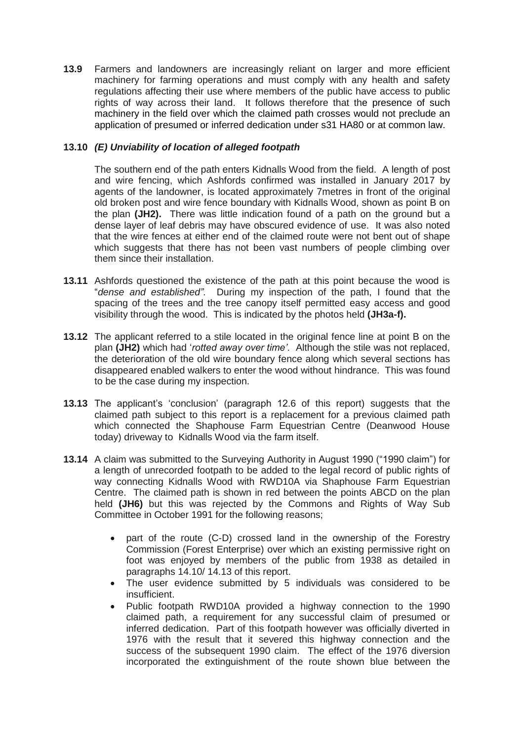**13.9** Farmers and landowners are increasingly reliant on larger and more efficient machinery for farming operations and must comply with any health and safety regulations affecting their use where members of the public have access to public rights of way across their land. It follows therefore that the presence of such machinery in the field over which the claimed path crosses would not preclude an application of presumed or inferred dedication under s31 HA80 or at common law.

# **13.10** *(E) Unviability of location of alleged footpath*

The southern end of the path enters Kidnalls Wood from the field. A length of post and wire fencing, which Ashfords confirmed was installed in January 2017 by agents of the landowner, is located approximately 7metres in front of the original old broken post and wire fence boundary with Kidnalls Wood, shown as point B on the plan **(JH2).** There was little indication found of a path on the ground but a dense layer of leaf debris may have obscured evidence of use. It was also noted that the wire fences at either end of the claimed route were not bent out of shape which suggests that there has not been vast numbers of people climbing over them since their installation.

- **13.11** Ashfords questioned the existence of the path at this point because the wood is "*dense and established"*. During my inspection of the path, I found that the spacing of the trees and the tree canopy itself permitted easy access and good visibility through the wood. This is indicated by the photos held **(JH3a-f).**
- **13.12** The applicant referred to a stile located in the original fence line at point B on the plan **(JH2)** which had '*rotted away over time'*. Although the stile was not replaced, the deterioration of the old wire boundary fence along which several sections has disappeared enabled walkers to enter the wood without hindrance. This was found to be the case during my inspection.
- **13.13** The applicant's 'conclusion' (paragraph 12.6 of this report) suggests that the claimed path subject to this report is a replacement for a previous claimed path which connected the Shaphouse Farm Equestrian Centre (Deanwood House today) driveway to Kidnalls Wood via the farm itself.
- **13.14** A claim was submitted to the Surveying Authority in August 1990 ("1990 claim") for a length of unrecorded footpath to be added to the legal record of public rights of way connecting Kidnalls Wood with RWD10A via Shaphouse Farm Equestrian Centre. The claimed path is shown in red between the points ABCD on the plan held **(JH6)** but this was rejected by the Commons and Rights of Way Sub Committee in October 1991 for the following reasons;
	- part of the route (C-D) crossed land in the ownership of the Forestry Commission (Forest Enterprise) over which an existing permissive right on foot was enjoyed by members of the public from 1938 as detailed in paragraphs 14.10/ 14.13 of this report.
	- The user evidence submitted by 5 individuals was considered to be insufficient.
	- Public footpath RWD10A provided a highway connection to the 1990 claimed path, a requirement for any successful claim of presumed or inferred dedication. Part of this footpath however was officially diverted in 1976 with the result that it severed this highway connection and the success of the subsequent 1990 claim. The effect of the 1976 diversion incorporated the extinguishment of the route shown blue between the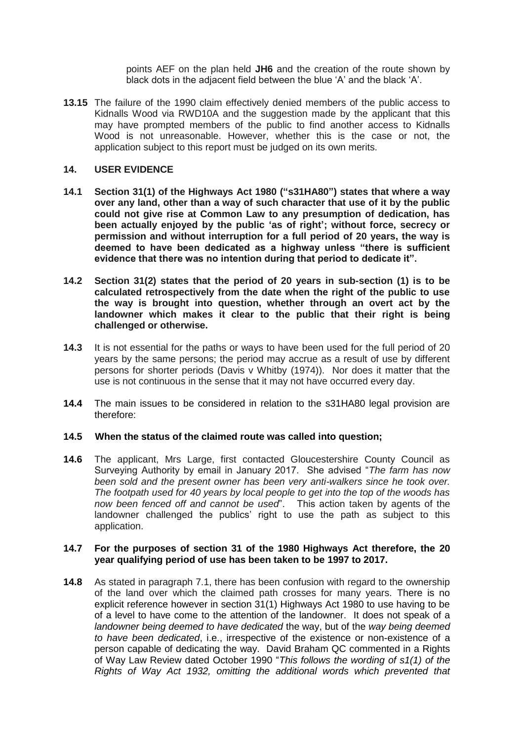points AEF on the plan held **JH6** and the creation of the route shown by black dots in the adjacent field between the blue 'A' and the black 'A'.

**13.15** The failure of the 1990 claim effectively denied members of the public access to Kidnalls Wood via RWD10A and the suggestion made by the applicant that this may have prompted members of the public to find another access to Kidnalls Wood is not unreasonable. However, whether this is the case or not, the application subject to this report must be judged on its own merits.

#### **14. USER EVIDENCE**

- **14.1 Section 31(1) of the Highways Act 1980 ("s31HA80") states that where a way over any land, other than a way of such character that use of it by the public could not give rise at Common Law to any presumption of dedication, has been actually enjoyed by the public 'as of right'; without force, secrecy or permission and without interruption for a full period of 20 years, the way is deemed to have been dedicated as a highway unless "there is sufficient evidence that there was no intention during that period to dedicate it".**
- **14.2 Section 31(2) states that the period of 20 years in sub-section (1) is to be calculated retrospectively from the date when the right of the public to use the way is brought into question, whether through an overt act by the landowner which makes it clear to the public that their right is being challenged or otherwise.**
- **14.3** It is not essential for the paths or ways to have been used for the full period of 20 years by the same persons; the period may accrue as a result of use by different persons for shorter periods (Davis v Whitby (1974)). Nor does it matter that the use is not continuous in the sense that it may not have occurred every day.
- **14.4** The main issues to be considered in relation to the s31HA80 legal provision are therefore:

#### **14.5 When the status of the claimed route was called into question;**

**14.6** The applicant, Mrs Large, first contacted Gloucestershire County Council as Surveying Authority by email in January 2017. She advised "*The farm has now been sold and the present owner has been very anti-walkers since he took over. The footpath used for 40 years by local people to get into the top of the woods has now been fenced off and cannot be used*". This action taken by agents of the landowner challenged the publics' right to use the path as subject to this application.

#### **14.7 For the purposes of section 31 of the 1980 Highways Act therefore, the 20 year qualifying period of use has been taken to be 1997 to 2017.**

**14.8** As stated in paragraph 7.1, there has been confusion with regard to the ownership of the land over which the claimed path crosses for many years. There is no explicit reference however in section 31(1) Highways Act 1980 to use having to be of a level to have come to the attention of the landowner. It does not speak of a *landowner being deemed to have dedicated* the way, but of the *way being deemed to have been dedicated*, i.e., irrespective of the existence or non-existence of a person capable of dedicating the way. David Braham QC commented in a Rights of Way Law Review dated October 1990 "*This follows the wording of s1(1) of the Rights of Way Act 1932, omitting the additional words which prevented that*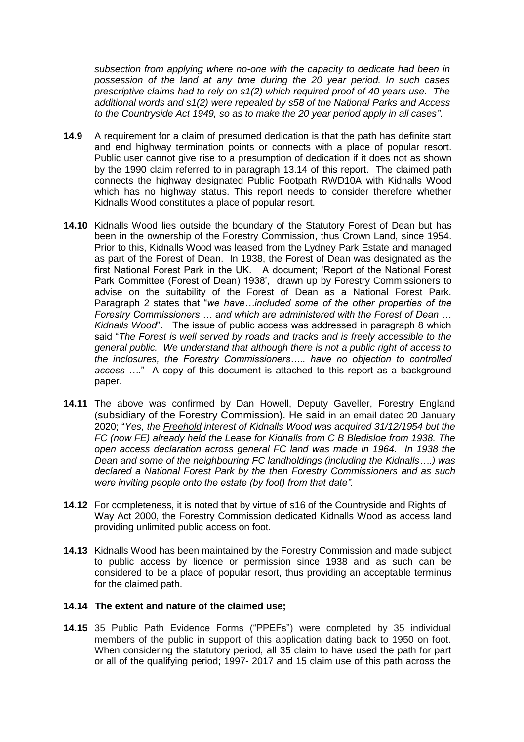*subsection from applying where no-one with the capacity to dedicate had been in possession of the land at any time during the 20 year period. In such cases prescriptive claims had to rely on s1(2) which required proof of 40 years use. The additional words and s1(2) were repealed by s58 of the National Parks and Access to the Countryside Act 1949, so as to make the 20 year period apply in all cases"*.

- **14.9** A requirement for a claim of presumed dedication is that the path has definite start and end highway termination points or connects with a place of popular resort. Public user cannot give rise to a presumption of dedication if it does not as shown by the 1990 claim referred to in paragraph 13.14 of this report. The claimed path connects the highway designated Public Footpath RWD10A with Kidnalls Wood which has no highway status. This report needs to consider therefore whether Kidnalls Wood constitutes a place of popular resort.
- **14.10** Kidnalls Wood lies outside the boundary of the Statutory Forest of Dean but has been in the ownership of the Forestry Commission, thus Crown Land, since 1954. Prior to this, Kidnalls Wood was leased from the Lydney Park Estate and managed as part of the Forest of Dean. In 1938, the Forest of Dean was designated as the first National Forest Park in the UK. A document; 'Report of the National Forest Park Committee (Forest of Dean) 1938', drawn up by Forestry Commissioners to advise on the suitability of the Forest of Dean as a National Forest Park. Paragraph 2 states that "*we have…included some of the other properties of the Forestry Commissioners … and which are administered with the Forest of Dean … Kidnalls Wood*". The issue of public access was addressed in paragraph 8 which said "*The Forest is well served by roads and tracks and is freely accessible to the general public. We understand that although there is not a public right of access to the inclosures, the Forestry Commissioners….. have no objection to controlled access ….*" A copy of this document is attached to this report as a background paper.
- **14.11** The above was confirmed by Dan Howell, Deputy Gaveller, Forestry England (subsidiary of the Forestry Commission). He said in an email dated 20 January 2020; "*Yes, the Freehold interest of Kidnalls Wood was acquired 31/12/1954 but the FC (now FE) already held the Lease for Kidnalls from C B Bledisloe from 1938. The open access declaration across general FC land was made in 1964. In 1938 the Dean and some of the neighbouring FC landholdings (including the Kidnalls….) was declared a National Forest Park by the then Forestry Commissioners and as such were inviting people onto the estate (by foot) from that date".*
- **14.12** For completeness, it is noted that by virtue of s16 of the Countryside and Rights of Way Act 2000, the Forestry Commission dedicated Kidnalls Wood as access land providing unlimited public access on foot.
- **14.13** Kidnalls Wood has been maintained by the Forestry Commission and made subject to public access by licence or permission since 1938 and as such can be considered to be a place of popular resort, thus providing an acceptable terminus for the claimed path.

#### **14.14 The extent and nature of the claimed use;**

**14.15** 35 Public Path Evidence Forms ("PPEFs") were completed by 35 individual members of the public in support of this application dating back to 1950 on foot. When considering the statutory period, all 35 claim to have used the path for part or all of the qualifying period; 1997- 2017 and 15 claim use of this path across the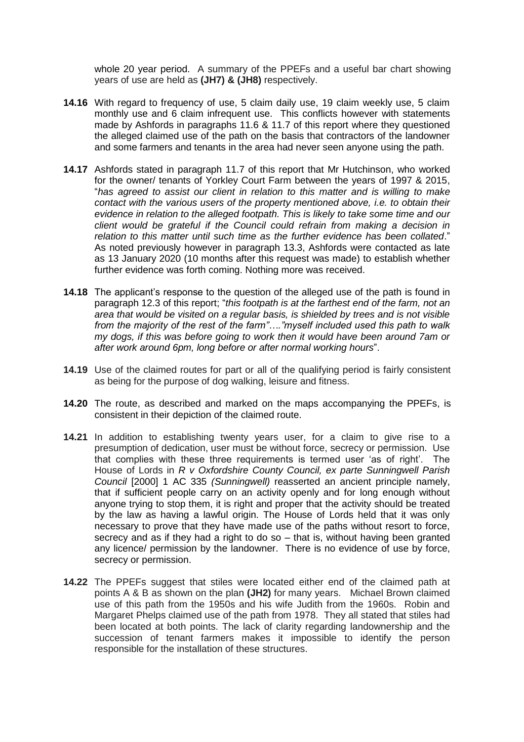whole 20 year period. A summary of the PPEFs and a useful bar chart showing years of use are held as **(JH7) & (JH8)** respectively.

- **14.16** With regard to frequency of use, 5 claim daily use, 19 claim weekly use, 5 claim monthly use and 6 claim infrequent use. This conflicts however with statements made by Ashfords in paragraphs 11.6 & 11.7 of this report where they questioned the alleged claimed use of the path on the basis that contractors of the landowner and some farmers and tenants in the area had never seen anyone using the path.
- **14.17** Ashfords stated in paragraph 11.7 of this report that Mr Hutchinson, who worked for the owner/ tenants of Yorkley Court Farm between the years of 1997 & 2015, "*has agreed to assist our client in relation to this matter and is willing to make contact with the various users of the property mentioned above, i.e. to obtain their evidence in relation to the alleged footpath. This is likely to take some time and our client would be grateful if the Council could refrain from making a decision in relation to this matter until such time as the further evidence has been collated*." As noted previously however in paragraph 13.3, Ashfords were contacted as late as 13 January 2020 (10 months after this request was made) to establish whether further evidence was forth coming. Nothing more was received.
- **14.18** The applicant's response to the question of the alleged use of the path is found in paragraph 12.3 of this report; "*this footpath is at the farthest end of the farm, not an area that would be visited on a regular basis, is shielded by trees and is not visible from the majority of the rest of the farm"…."myself included used this path to walk my dogs, if this was before going to work then it would have been around 7am or after work around 6pm, long before or after normal working hours*".
- **14.19** Use of the claimed routes for part or all of the qualifying period is fairly consistent as being for the purpose of dog walking, leisure and fitness.
- **14.20** The route, as described and marked on the maps accompanying the PPEFs, is consistent in their depiction of the claimed route.
- **14.21** In addition to establishing twenty years user, for a claim to give rise to a presumption of dedication, user must be without force, secrecy or permission. Use that complies with these three requirements is termed user 'as of right'. The House of Lords in *R v Oxfordshire County Council, ex parte Sunningwell Parish Council* [2000] 1 AC 335 *(Sunningwell)* reasserted an ancient principle namely, that if sufficient people carry on an activity openly and for long enough without anyone trying to stop them, it is right and proper that the activity should be treated by the law as having a lawful origin. The House of Lords held that it was only necessary to prove that they have made use of the paths without resort to force, secrecy and as if they had a right to do so – that is, without having been granted any licence/ permission by the landowner. There is no evidence of use by force, secrecy or permission.
- **14.22** The PPEFs suggest that stiles were located either end of the claimed path at points A & B as shown on the plan **(JH2)** for many years. Michael Brown claimed use of this path from the 1950s and his wife Judith from the 1960s. Robin and Margaret Phelps claimed use of the path from 1978. They all stated that stiles had been located at both points. The lack of clarity regarding landownership and the succession of tenant farmers makes it impossible to identify the person responsible for the installation of these structures.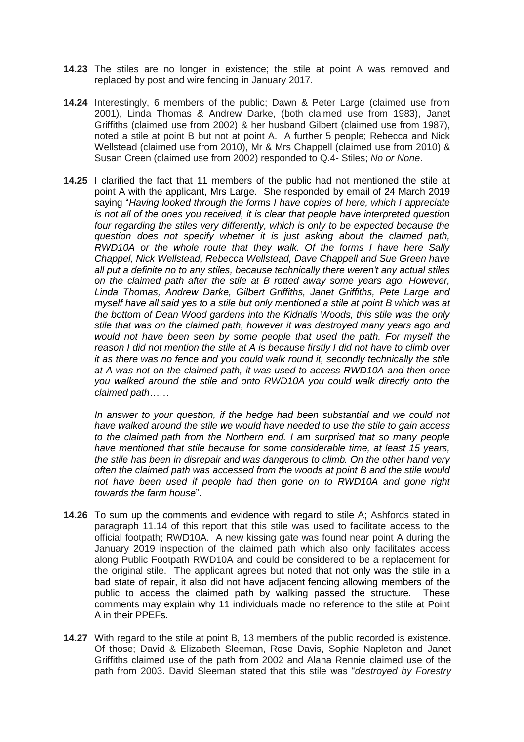- **14.23** The stiles are no longer in existence; the stile at point A was removed and replaced by post and wire fencing in January 2017.
- **14.24** Interestingly, 6 members of the public; Dawn & Peter Large (claimed use from 2001), Linda Thomas & Andrew Darke, (both claimed use from 1983), Janet Griffiths (claimed use from 2002) & her husband Gilbert (claimed use from 1987), noted a stile at point B but not at point A. A further 5 people; Rebecca and Nick Wellstead (claimed use from 2010), Mr & Mrs Chappell (claimed use from 2010) & Susan Creen (claimed use from 2002) responded to Q.4- Stiles; *No or None*.
- **14.25** I clarified the fact that 11 members of the public had not mentioned the stile at point A with the applicant, Mrs Large.She responded by email of 24 March 2019 saying "*Having looked through the forms I have copies of here, which I appreciate is not all of the ones you received, it is clear that people have interpreted question four regarding the stiles very differently, which is only to be expected because the question does not specify whether it is just asking about the claimed path, RWD10A or the whole route that they walk. Of the forms I have here Sally Chappel, Nick Wellstead, Rebecca Wellstead, Dave Chappell and Sue Green have all put a definite no to any stiles, because technically there weren't any actual stiles on the claimed path after the stile at B rotted away some years ago. However, Linda Thomas, Andrew Darke, Gilbert Griffiths, Janet Griffiths, Pete Large and myself have all said yes to a stile but only mentioned a stile at point B which was at the bottom of Dean Wood gardens into the Kidnalls Woods, this stile was the only stile that was on the claimed path, however it was destroyed many years ago and would not have been seen by some people that used the path. For myself the reason I did not mention the stile at A is because firstly I did not have to climb over it as there was no fence and you could walk round it, secondly technically the stile at A was not on the claimed path, it was used to access RWD10A and then once you walked around the stile and onto RWD10A you could walk directly onto the claimed path……*

In answer to your question, if the hedge had been substantial and we could not *have walked around the stile we would have needed to use the stile to gain access to the claimed path from the Northern end. I am surprised that so many people have mentioned that stile because for some considerable time, at least 15 years, the stile has been in disrepair and was dangerous to climb. On the other hand very often the claimed path was accessed from the woods at point B and the stile would not have been used if people had then gone on to RWD10A and gone right towards the farm house*".

- **14.26** To sum up the comments and evidence with regard to stile A; Ashfords stated in paragraph 11.14 of this report that this stile was used to facilitate access to the official footpath; RWD10A. A new kissing gate was found near point A during the January 2019 inspection of the claimed path which also only facilitates access along Public Footpath RWD10A and could be considered to be a replacement for the original stile. The applicant agrees but noted that not only was the stile in a bad state of repair, it also did not have adjacent fencing allowing members of the public to access the claimed path by walking passed the structure. These comments may explain why 11 individuals made no reference to the stile at Point A in their PPEFs.
- **14.27** With regard to the stile at point B, 13 members of the public recorded is existence. Of those; David & Elizabeth Sleeman, Rose Davis, Sophie Napleton and Janet Griffiths claimed use of the path from 2002 and Alana Rennie claimed use of the path from 2003. David Sleeman stated that this stile was "*destroyed by Forestry*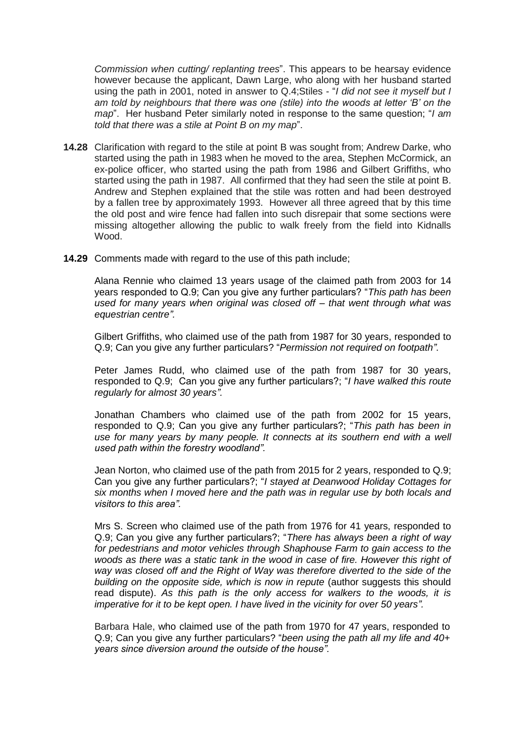*Commission when cutting/ replanting trees*". This appears to be hearsay evidence however because the applicant, Dawn Large, who along with her husband started using the path in 2001, noted in answer to Q.4;Stiles - "*I did not see it myself but I am told by neighbours that there was one (stile) into the woods at letter 'B' on the map*". Her husband Peter similarly noted in response to the same question; "*I am told that there was a stile at Point B on my map*".

- **14.28** Clarification with regard to the stile at point B was sought from; Andrew Darke, who started using the path in 1983 when he moved to the area, Stephen McCormick, an ex-police officer, who started using the path from 1986 and Gilbert Griffiths, who started using the path in 1987. All confirmed that they had seen the stile at point B. Andrew and Stephen explained that the stile was rotten and had been destroyed by a fallen tree by approximately 1993. However all three agreed that by this time the old post and wire fence had fallen into such disrepair that some sections were missing altogether allowing the public to walk freely from the field into Kidnalls Wood.
- **14.29** Comments made with regard to the use of this path include;

Alana Rennie who claimed 13 years usage of the claimed path from 2003 for 14 years responded to Q.9; Can you give any further particulars? "*This path has been used for many years when original was closed off – that went through what was equestrian centre".*

Gilbert Griffiths, who claimed use of the path from 1987 for 30 years, responded to Q.9; Can you give any further particulars? "*Permission not required on footpath"*.

Peter James Rudd, who claimed use of the path from 1987 for 30 years, responded to Q.9; Can you give any further particulars?; "*I have walked this route regularly for almost 30 years".*

Jonathan Chambers who claimed use of the path from 2002 for 15 years, responded to Q.9; Can you give any further particulars?; "*This path has been in use for many years by many people. It connects at its southern end with a well used path within the forestry woodland".*

Jean Norton, who claimed use of the path from 2015 for 2 years, responded to Q.9; Can you give any further particulars?; "*I stayed at Deanwood Holiday Cottages for six months when I moved here and the path was in regular use by both locals and visitors to this area".*

Mrs S. Screen who claimed use of the path from 1976 for 41 years, responded to Q.9; Can you give any further particulars?; "*There has always been a right of way for pedestrians and motor vehicles through Shaphouse Farm to gain access to the woods as there was a static tank in the wood in case of fire. However this right of way was closed off and the Right of Way was therefore diverted to the side of the building on the opposite side, which is now in repute* (author suggests this should read dispute). *As this path is the only access for walkers to the woods, it is imperative for it to be kept open. I have lived in the vicinity for over 50 years".*

Barbara Hale, who claimed use of the path from 1970 for 47 years, responded to Q.9; Can you give any further particulars? "*been using the path all my life and 40+ years since diversion around the outside of the house".*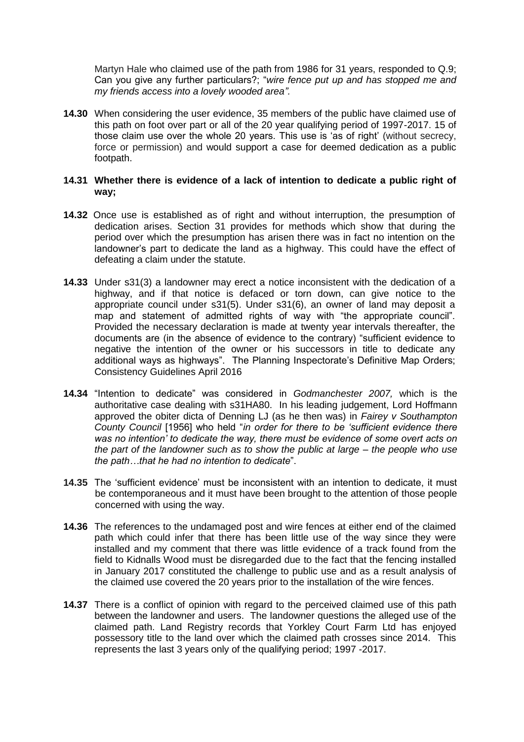Martyn Hale who claimed use of the path from 1986 for 31 years, responded to Q.9; Can you give any further particulars?; "*wire fence put up and has stopped me and my friends access into a lovely wooded area".*

**14.30** When considering the user evidence, 35 members of the public have claimed use of this path on foot over part or all of the 20 year qualifying period of 1997-2017. 15 of those claim use over the whole 20 years. This use is 'as of right' (without secrecy, force or permission) and would support a case for deemed dedication as a public footpath.

#### **14.31 Whether there is evidence of a lack of intention to dedicate a public right of way;**

- **14.32** Once use is established as of right and without interruption, the presumption of dedication arises. Section 31 provides for methods which show that during the period over which the presumption has arisen there was in fact no intention on the landowner's part to dedicate the land as a highway. This could have the effect of defeating a claim under the statute.
- **14.33** Under s31(3) a landowner may erect a notice inconsistent with the dedication of a highway, and if that notice is defaced or torn down, can give notice to the appropriate council under s31(5). Under s31(6), an owner of land may deposit a map and statement of admitted rights of way with "the appropriate council". Provided the necessary declaration is made at twenty year intervals thereafter, the documents are (in the absence of evidence to the contrary) "sufficient evidence to negative the intention of the owner or his successors in title to dedicate any additional ways as highways". The Planning Inspectorate's Definitive Map Orders; Consistency Guidelines April 2016
- **14.34** "Intention to dedicate" was considered in *Godmanchester 2007,* which is the authoritative case dealing with s31HA80. In his leading judgement, Lord Hoffmann approved the obiter dicta of Denning LJ (as he then was) in *Fairey v Southampton County Council* [1956] who held "*in order for there to be 'sufficient evidence there was no intention' to dedicate the way, there must be evidence of some overt acts on the part of the landowner such as to show the public at large – the people who use the path…that he had no intention to dedicate*".
- **14.35** The 'sufficient evidence' must be inconsistent with an intention to dedicate, it must be contemporaneous and it must have been brought to the attention of those people concerned with using the way.
- **14.36** The references to the undamaged post and wire fences at either end of the claimed path which could infer that there has been little use of the way since they were installed and my comment that there was little evidence of a track found from the field to Kidnalls Wood must be disregarded due to the fact that the fencing installed in January 2017 constituted the challenge to public use and as a result analysis of the claimed use covered the 20 years prior to the installation of the wire fences.
- **14.37** There is a conflict of opinion with regard to the perceived claimed use of this path between the landowner and users. The landowner questions the alleged use of the claimed path. Land Registry records that Yorkley Court Farm Ltd has enjoyed possessory title to the land over which the claimed path crosses since 2014. This represents the last 3 years only of the qualifying period; 1997 -2017.